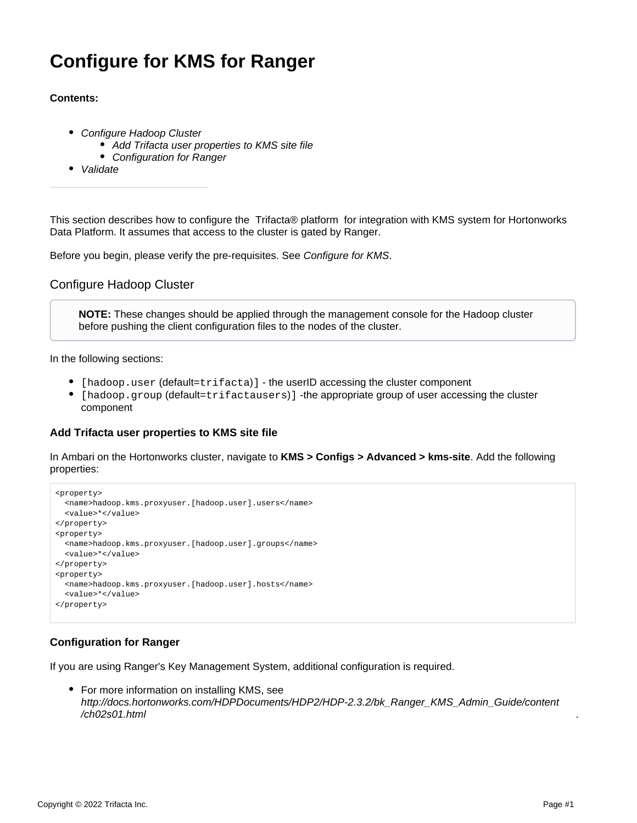# **Configure for KMS for Ranger**

## **Contents:**

- [Configure Hadoop Cluster](#page-0-0)
	- [Add Trifacta user properties to KMS site file](#page-0-1)
	- [Configuration for Ranger](#page-0-2)
- [Validate](#page-2-0)

This section describes how to configure the Trifacta® platform for integration with KMS system for Hortonworks Data Platform. It assumes that access to the cluster is gated by Ranger.

Before you begin, please verify the pre-requisites. See [Configure for KMS](https://docs.trifacta.com/display/r082/Configure+for+KMS).

# <span id="page-0-0"></span>Configure Hadoop Cluster

**NOTE:** These changes should be applied through the management console for the Hadoop cluster before pushing the client configuration files to the nodes of the cluster.

In the following sections:

- [hadoop.user (default=trifacta)] the userID accessing the cluster component
- [hadoop.group (default=trifactausers)] -the appropriate group of user accessing the cluster component

## <span id="page-0-1"></span>**Add Trifacta user properties to KMS site file**

In Ambari on the Hortonworks cluster, navigate to **KMS > Configs > Advanced > kms-site**. Add the following properties:

```
<property>
  <name>hadoop.kms.proxyuser.[hadoop.user].users</name>
  <value>*</value>
</property>
<property>
  <name>hadoop.kms.proxyuser.[hadoop.user].groups</name>
  <value>*</value>
</property>
<property>
  <name>hadoop.kms.proxyuser.[hadoop.user].hosts</name>
  <value>*</value>
</property>
```
# <span id="page-0-2"></span>**Configuration for Ranger**

If you are using Ranger's Key Management System, additional configuration is required.

• For more information on installing KMS, see [http://docs.hortonworks.com/HDPDocuments/HDP2/HDP-2.3.2/bk\\_Ranger\\_KMS\\_Admin\\_Guide/content](http://docs.hortonworks.com/HDPDocuments/HDP2/HDP-2.3.2/bk_Ranger_KMS_Admin_Guide/content/ch02s01.html) /ch02s01.html

.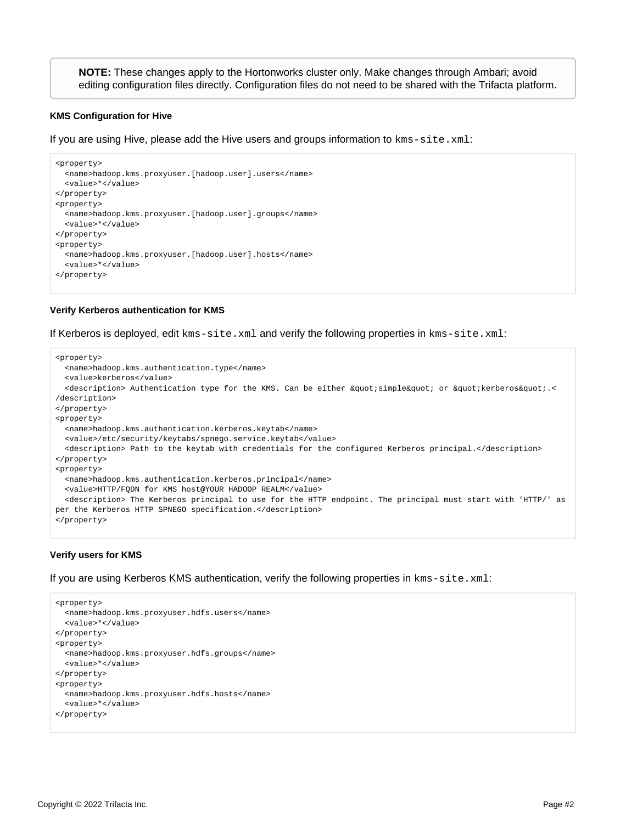**NOTE:** These changes apply to the Hortonworks cluster only. Make changes through Ambari; avoid editing configuration files directly. Configuration files do not need to be shared with the Trifacta platform.

#### **KMS Configuration for Hive**

If you are using Hive, please add the Hive users and groups information to kms-site.xml:

```
<property>
  <name>hadoop.kms.proxyuser.[hadoop.user].users</name>
  <value>*</value>
</property>
<property>
  <name>hadoop.kms.proxyuser.[hadoop.user].groups</name>
   <value>*</value>
</property>
<property>
  <name>hadoop.kms.proxyuser.[hadoop.user].hosts</name>
  <value>*</value>
</property>
```
#### **Verify Kerberos authentication for KMS**

If Kerberos is deployed, edit kms-site.xml and verify the following properties in kms-site.xml:

```
<property>
  <name>hadoop.kms.authentication.type</name>
   <value>kerberos</value>
 <description> Authentication type for the KMS. Can be either &quot;simple&quot; or &quot;kerberos&quot;.<
/description>
</property>
<property>
  <name>hadoop.kms.authentication.kerberos.keytab</name>
   <value>/etc/security/keytabs/spnego.service.keytab</value>
   <description> Path to the keytab with credentials for the configured Kerberos principal.</description>
</property>
<property>
  <name>hadoop.kms.authentication.kerberos.principal</name>
  <value>HTTP/FQDN for KMS host@YOUR HADOOP REALM</value>
   <description> The Kerberos principal to use for the HTTP endpoint. The principal must start with 'HTTP/' as 
per the Kerberos HTTP SPNEGO specification.</description>
</property>
```
#### **Verify users for KMS**

If you are using Kerberos KMS authentication, verify the following properties in kms-site.xml:

```
<property>
  <name>hadoop.kms.proxyuser.hdfs.users</name>
  <value>*</value>
</property>
<property>
  <name>hadoop.kms.proxyuser.hdfs.groups</name>
  <value>*</value>
</property>
<property>
  <name>hadoop.kms.proxyuser.hdfs.hosts</name>
  <value>*</value>
</property>
```